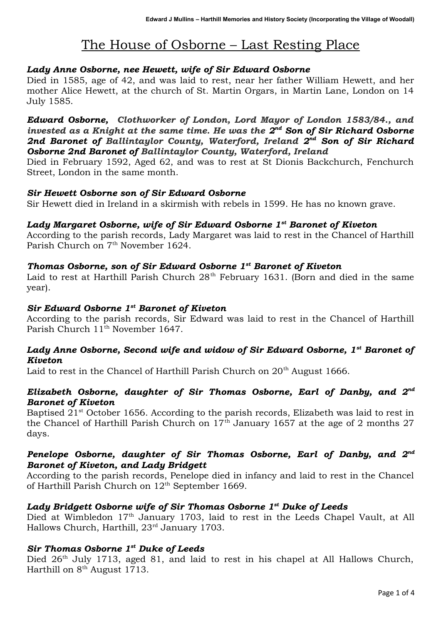# The House of Osborne – Last Resting Place

### *Lady Anne Osborne, nee Hewett, wife of Sir Edward Osborne*

Died in 1585, age of 42, and was laid to rest, near her father William Hewett, and her mother Alice Hewett, at the church of St. Martin Orgars, in Martin Lane, London on 14 July 1585.

*Edward Osborne, Clothworker of London, Lord Mayor of London 1583/84., and invested as a Knight at the same time. He was the 2<sup>nd</sup> Son of Sir Richard Osborne 2nd Baronet of Ballintaylor County, Waterford, Ireland 2nd Son of Sir Richard Osborne 2nd Baronet of Ballintaylor County, Waterford, Ireland*

Died in February 1592, Aged 62, and was to rest at St Dionis Backchurch, Fenchurch Street, London in the same month.

#### *Sir Hewett Osborne son of Sir Edward Osborne*

Sir Hewett died in Ireland in a skirmish with rebels in 1599. He has no known grave.

#### *Lady Margaret Osborne, wife of Sir Edward Osborne 1st Baronet of Kiveton*

According to the parish records, Lady Margaret was laid to rest in the Chancel of Harthill Parish Church on 7<sup>th</sup> November 1624.

#### *Thomas Osborne, son of Sir Edward Osborne 1st Baronet of Kiveton*

Laid to rest at Harthill Parish Church  $28<sup>th</sup>$  February 1631. (Born and died in the same year).

## *Sir Edward Osborne 1st Baronet of Kiveton*

According to the parish records, Sir Edward was laid to rest in the Chancel of Harthill Parish Church  $11^{\text{th}}$  November 1647.

# *Lady Anne Osborne, Second wife and widow of Sir Edward Osborne, 1st Baronet of Kiveton*

Laid to rest in the Chancel of Harthill Parish Church on  $20<sup>th</sup>$  August 1666.

#### *Elizabeth Osborne, daughter of Sir Thomas Osborne, Earl of Danby, and 2 nd Baronet of Kiveton*

Baptised  $21<sup>st</sup>$  October 1656. According to the parish records, Elizabeth was laid to rest in the Chancel of Harthill Parish Church on  $17<sup>th</sup>$  January 1657 at the age of 2 months 27 days.

# *Penelope Osborne, daughter of Sir Thomas Osborne, Earl of Danby, and 2 nd Baronet of Kiveton, and Lady Bridgett*

According to the parish records, Penelope died in infancy and laid to rest in the Chancel of Harthill Parish Church on  $12<sup>th</sup>$  September 1669.

#### *Lady Bridgett Osborne wife of Sir Thomas Osborne 1 st Duke of Leeds*

Died at Wimbledon 17<sup>th</sup> January 1703, laid to rest in the Leeds Chapel Vault, at All Hallows Church, Harthill, 23<sup>rd</sup> January 1703.

#### *Sir Thomas Osborne 1 st Duke of Leeds*

Died 26<sup>th</sup> July 1713, aged 81, and laid to rest in his chapel at All Hallows Church, Harthill on  $8<sup>th</sup>$  August 1713.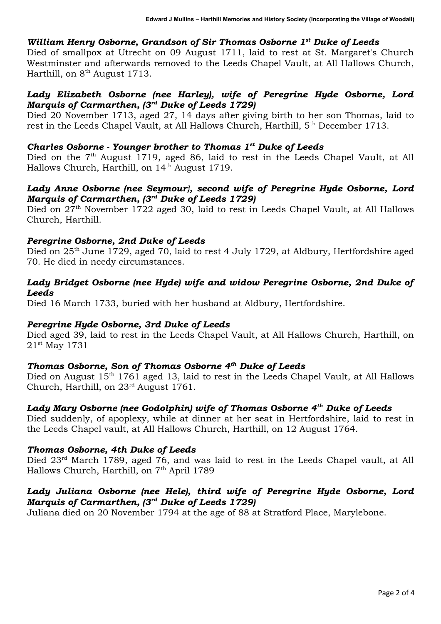# *William Henry Osborne, Grandson of Sir Thomas Osborne 1 st Duke of Leeds*

Died of smallpox at Utrecht on 09 August 1711, laid to rest at St. Margaret's Church Westminster and afterwards removed to the Leeds Chapel Vault, at All Hallows Church, Harthill, on 8<sup>th</sup> August 1713.

#### *Lady Elizabeth Osborne (nee Harley), wife of Peregrine Hyde Osborne, Lord Marquis of Carmarthen, (3rd Duke of Leeds 1729)*

Died 20 November 1713, aged 27, 14 days after giving birth to her son Thomas, laid to rest in the Leeds Chapel Vault, at All Hallows Church, Harthill, 5<sup>th</sup> December 1713.

#### *Charles Osborne - Younger brother to Thomas 1st Duke of Leeds*

Died on the 7<sup>th</sup> August 1719, aged 86, laid to rest in the Leeds Chapel Vault, at All Hallows Church, Harthill, on 14<sup>th</sup> August 1719.

#### *Lady Anne Osborne (nee Seymour}, second wife of Peregrine Hyde Osborne, Lord Marquis of Carmarthen, (3rd Duke of Leeds 1729)*

Died on 27<sup>th</sup> November 1722 aged 30, laid to rest in Leeds Chapel Vault, at All Hallows Church, Harthill.

#### *Peregrine Osborne, 2nd Duke of Leeds*

Died on 25<sup>th</sup> June 1729, aged 70, laid to rest 4 July 1729, at Aldbury, Hertfordshire aged 70. He died in needy circumstances.

#### *Lady Bridget Osborne (nee Hyde) wife and widow Peregrine Osborne, 2nd Duke of Leeds*

Died 16 March 1733, buried with her husband at Aldbury, Hertfordshire.

#### *Peregrine Hyde Osborne, 3rd Duke of Leeds*

Died aged 39, laid to rest in the Leeds Chapel Vault, at All Hallows Church, Harthill, on 21st May 1731

#### *Thomas Osborne, Son of Thomas Osborne 4th Duke of Leeds*

Died on August 15<sup>th</sup> 1761 aged 13, laid to rest in the Leeds Chapel Vault, at All Hallows Church, Harthill, on 23rd August 1761.

#### *Lady Mary Osborne (nee Godolphin) wife of Thomas Osborne 4th Duke of Leeds*

Died suddenly, of apoplexy, while at dinner at her seat in Hertfordshire, laid to rest in the Leeds Chapel vault, at All Hallows Church, Harthill, on 12 August 1764.

#### *Thomas Osborne, 4th Duke of Leeds*

Died  $23<sup>rd</sup>$  March 1789, aged 76, and was laid to rest in the Leeds Chapel vault, at All Hallows Church, Harthill, on 7<sup>th</sup> April 1789

#### *Lady Juliana Osborne (nee Hele), third wife of Peregrine Hyde Osborne, Lord Marquis of Carmarthen, (3rd Duke of Leeds 1729)*

Juliana died on 20 November 1794 at the age of 88 at Stratford Place, Marylebone.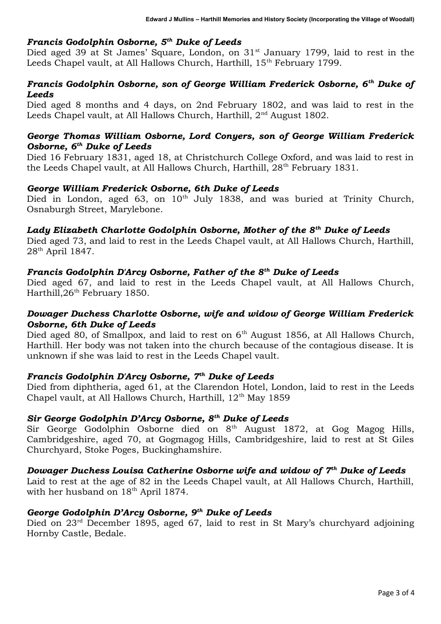#### *Francis Godolphin Osborne, 5th Duke of Leeds*

Died aged 39 at St James' Square, London, on  $31<sup>st</sup>$  January 1799, laid to rest in the Leeds Chapel vault, at All Hallows Church, Harthill, 15<sup>th</sup> February 1799.

#### *Francis Godolphin Osborne, son of George William Frederick Osborne, 6th Duke of Leeds*

Died aged 8 months and 4 days, on 2nd February 1802, and was laid to rest in the Leeds Chapel vault, at All Hallows Church, Harthill, 2<sup>nd</sup> August 1802.

#### *George Thomas William Osborne, Lord Conyers, son of George William Frederick Osborne, 6th Duke of Leeds*

Died 16 February 1831, aged 18, at Christchurch College Oxford, and was laid to rest in the Leeds Chapel vault, at All Hallows Church, Harthill, 28<sup>th</sup> February 1831.

#### *George William Frederick Osborne, 6th Duke of Leeds*

Died in London, aged 63, on 10<sup>th</sup> July 1838, and was buried at Trinity Church, Osnaburgh Street, Marylebone.

#### *Lady Elizabeth Charlotte Godolphin Osborne, Mother of the 8th Duke of Leeds*

Died aged 73, and laid to rest in the Leeds Chapel vault, at All Hallows Church, Harthill, 28th April 1847.

#### *Francis Godolphin D'Arcy Osborne, Father of the 8th Duke of Leeds*

Died aged 67, and laid to rest in the Leeds Chapel vault, at All Hallows Church, Harthill, 26<sup>th</sup> February 1850.

# *Dowager Duchess Charlotte Osborne, wife and widow of George William Frederick Osborne, 6th Duke of Leeds*

Died aged 80, of Smallpox, and laid to rest on 6<sup>th</sup> August 1856, at All Hallows Church, Harthill. Her body was not taken into the church because of the contagious disease. It is unknown if she was laid to rest in the Leeds Chapel vault.

# *Francis Godolphin D'Arcy Osborne, 7th Duke of Leeds*

Died from diphtheria, aged 61, at the Clarendon Hotel, London, laid to rest in the Leeds Chapel vault, at All Hallows Church, Harthill, 12<sup>th</sup> May 1859

# *Sir George Godolphin D'Arcy Osborne, 8th Duke of Leeds*

Sir George Godolphin Osborne died on 8<sup>th</sup> August 1872, at Gog Magog Hills, Cambridgeshire, aged 70, at Gogmagog Hills, Cambridgeshire, laid to rest at St Giles Churchyard, Stoke Poges, Buckinghamshire.

#### *Dowager Duchess Louisa Catherine Osborne wife and widow of 7th Duke of Leeds*

Laid to rest at the age of 82 in the Leeds Chapel vault, at All Hallows Church, Harthill, with her husband on  $18<sup>th</sup>$  April 1874.

#### *George Godolphin D'Arcy Osborne, 9th Duke of Leeds*

Died on 23<sup>rd</sup> December 1895, aged 67, laid to rest in St Mary's churchyard adjoining Hornby Castle, Bedale.